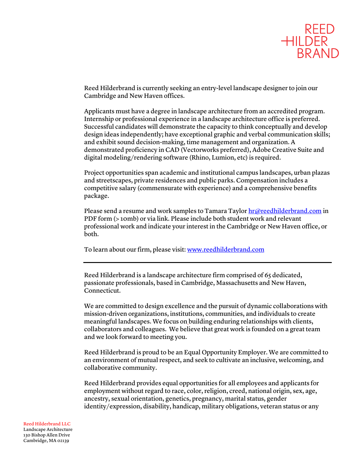

Reed Hilderbrand is currently seeking an entry-level landscape designer to join our Cambridge and New Haven offices.

Applicants must have a degree in landscape architecture from an accredited program. Internship or professional experience in a landscape architecture office is preferred. Successful candidates will demonstrate the capacity to think conceptually and develop design ideas independently; have exceptional graphic and verbal communication skills; and exhibit sound decision-making, time management and organization. A demonstrated proficiency in CAD (Vectorworks preferred), Adobe Creative Suite and digital modeling/rendering software (Rhino, Lumion, etc) is required.

Project opportunities span academic and institutional campus landscapes, urban plazas and streetscapes, private residences and public parks. Compensation includes a competitive salary (commensurate with experience) and a comprehensive benefits package.

Please send a resume and work samples to Tamara Taylor hr@reedhilderbrand.com in PDF form (> 10mb) or via link. Please include both student work and relevant professional work and indicate your interest in the Cambridge or New Haven office, or both.

To learn about our firm, please visit: www.reedhilderbrand.com

Reed Hilderbrand is a landscape architecture firm comprised of 65 dedicated, passionate professionals, based in Cambridge, Massachusetts and New Haven, Connecticut.

We are committed to design excellence and the pursuit of dynamic collaborations with mission-driven organizations, institutions, communities, and individuals to create meaningful landscapes. We focus on building enduring relationships with clients, collaborators and colleagues. We believe that great work is founded on a great team and we look forward to meeting you.

Reed Hilderbrand is proud to be an Equal Opportunity Employer. We are committed to an environment of mutual respect, and seek to cultivate an inclusive, welcoming, and collaborative community.

Reed Hilderbrand provides equal opportunities for all employees and applicants for employment without regard to race, color, religion, creed, national origin, sex, age, ancestry, sexual orientation, genetics, pregnancy, marital status, gender identity/expression, disability, handicap, military obligations, veteran status or any

## Reed Hilderbrand LLC Landscape Architecture 130 Bishop Allen Drive Cambridge, MA 02139